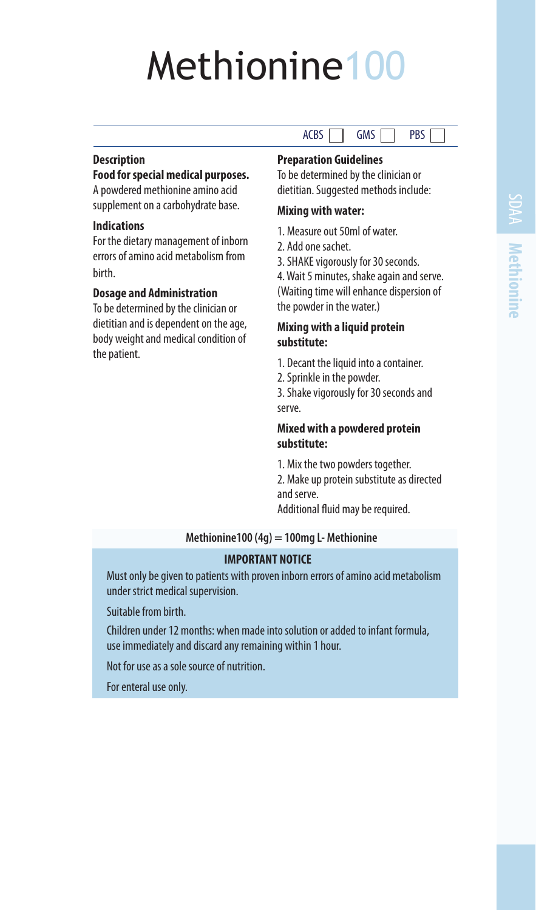# Methionine100

## **Description**

#### **Food for special medical purposes.**

A powdered methionine amino acid supplement on a carbohydrate base.

## **Indications**

For the dietary management of inborn errors of amino acid metabolism from birth.

#### **Dosage and Administration**

To be determined by the clinician or dietitian and is dependent on the age, body weight and medical condition of the patient.

## **Preparation Guidelines**

To be determined by the clinician or dietitian. Suggested methods include:

 $ACBS$   $\Box$   $GMS$   $\Box$   $PBS$ 

#### **Mixing with water:**

- 1. Measure out 50ml of water.
- 2. Add one sachet.

3. SHAKE vigorously for 30 seconds.

4. Wait 5 minutes, shake again and serve. (Waiting time will enhance dispersion of the powder in the water.)

#### **Mixing with a liquid protein substitute:**

- 1. Decant the liquid into a container.
- 2. Sprinkle in the powder.

3. Shake vigorously for 30 seconds and serve.

## **Mixed with a powdered protein substitute:**

1. Mix the two powders together.

2. Make up protein substitute as directed and serve.

Additional fluid may be required.

#### **Methionine100 (4g) = 100mg L- Methionine**

### **IMPORTANT NOTICE**

Must only be given to patients with proven inborn errors of amino acid metabolism under strict medical supervision.

Suitable from birth.

Children under 12 months: when made into solution or added to infant formula, use immediately and discard any remaining within 1 hour.

Not for use as a sole source of nutrition.

For enteral use only.